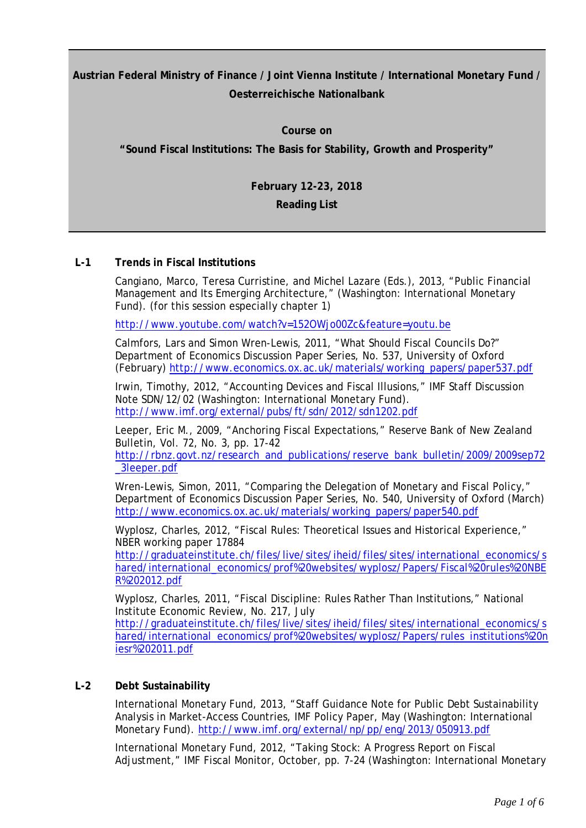**Austrian Federal Ministry of Finance / Joint Vienna Institute / International Monetary Fund / Oesterreichische Nationalbank**

> **Course on "Sound Fiscal Institutions: The Basis for Stability, Growth and Prosperity"**

> > **February 12-23, 2018**

**Reading List**

# **L-1 Trends in Fiscal Institutions**

Cangiano, Marco, Teresa Curristine, and Michel Lazare (Eds.), 2013, "Public Financial Management and Its Emerging Architecture," (Washington: International Monetary Fund). (for this session especially chapter 1)

<http://www.youtube.com/watch?v=152OWjo00Zc&feature=youtu.be>

Calmfors, Lars and Simon Wren-Lewis, 2011, "What Should Fiscal Councils Do?" Department of Economics Discussion Paper Series, No. 537, University of Oxford (February) [http://www.economics.ox.ac.uk/materials/working\\_papers/paper537.pdf](http://www.economics.ox.ac.uk/materials/working_papers/paper537.pdf)

Irwin, Timothy, 2012, "Accounting Devices and Fiscal Illusions," IMF Staff Discussion Note SDN/12/02 (Washington: International Monetary Fund). <http://www.imf.org/external/pubs/ft/sdn/2012/sdn1202.pdf>

Leeper, Eric M., 2009, "Anchoring Fiscal Expectations," Reserve Bank of New Zealand Bulletin, Vol. 72, No. 3, pp. 17-42

[http://rbnz.govt.nz/research\\_and\\_publications/reserve\\_bank\\_bulletin/2009/2009sep72](http://rbnz.govt.nz/research_and_publications/reserve_bank_bulletin/2009/2009sep72_3leeper.pdf) [\\_3leeper.pdf](http://rbnz.govt.nz/research_and_publications/reserve_bank_bulletin/2009/2009sep72_3leeper.pdf)

Wren-Lewis, Simon, 2011, "Comparing the Delegation of Monetary and Fiscal Policy," Department of Economics Discussion Paper Series, No. 540, University of Oxford (March) [http://www.economics.ox.ac.uk/materials/working\\_papers/paper540.pdf](http://www.economics.ox.ac.uk/materials/working_papers/paper540.pdf)

Wyplosz, Charles, 2012, "Fiscal Rules: Theoretical Issues and Historical Experience," NBER working paper 17884

[http://graduateinstitute.ch/files/live/sites/iheid/files/sites/international\\_economics/s](http://graduateinstitute.ch/files/live/sites/iheid/files/sites/international_economics/shared/international_economics/prof%20websites/wyplosz/Papers/Fiscal%20rules%20NBER%202012.pdf) [hared/international\\_economics/prof%20websites/wyplosz/Papers/Fiscal%20rules%20NBE](http://graduateinstitute.ch/files/live/sites/iheid/files/sites/international_economics/shared/international_economics/prof%20websites/wyplosz/Papers/Fiscal%20rules%20NBER%202012.pdf) [R%202012.pdf](http://graduateinstitute.ch/files/live/sites/iheid/files/sites/international_economics/shared/international_economics/prof%20websites/wyplosz/Papers/Fiscal%20rules%20NBER%202012.pdf)

Wyplosz, Charles, 2011, "Fiscal Discipline: Rules Rather Than Institutions," National Institute Economic Review, No. 217, July

[http://graduateinstitute.ch/files/live/sites/iheid/files/sites/international\\_economics/s](http://graduateinstitute.ch/files/live/sites/iheid/files/sites/international_economics/shared/international_economics/prof%20websites/wyplosz/Papers/rules_institutions%20niesr%202011.pdf) [hared/international\\_economics/prof%20websites/wyplosz/Papers/rules\\_institutions%20n](http://graduateinstitute.ch/files/live/sites/iheid/files/sites/international_economics/shared/international_economics/prof%20websites/wyplosz/Papers/rules_institutions%20niesr%202011.pdf) [iesr%202011.pdf](http://graduateinstitute.ch/files/live/sites/iheid/files/sites/international_economics/shared/international_economics/prof%20websites/wyplosz/Papers/rules_institutions%20niesr%202011.pdf)

## **L-2 Debt Sustainability**

International Monetary Fund, 2013, "Staff Guidance Note for Public Debt Sustainability Analysis in Market-Access Countries, IMF Policy Paper, May (Washington: International Monetary Fund). <http://www.imf.org/external/np/pp/eng/2013/050913.pdf>

International Monetary Fund, 2012, "Taking Stock: A Progress Report on Fiscal Adjustment," IMF Fiscal Monitor, October, pp. 7-24 (Washington: International Monetary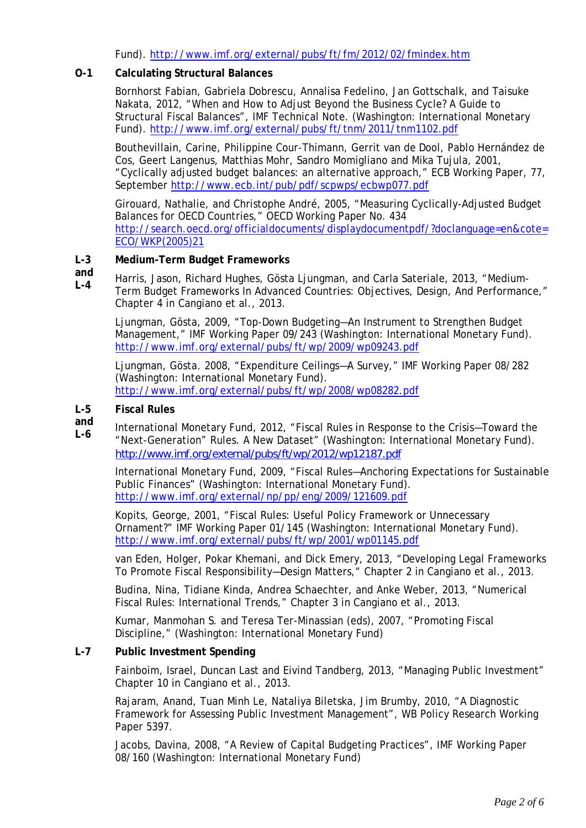Fund).<http://www.imf.org/external/pubs/ft/fm/2012/02/fmindex.htm>

## **O-1 Calculating Structural Balances**

Bornhorst Fabian, Gabriela Dobrescu, Annalisa Fedelino, Jan Gottschalk, and Taisuke Nakata, 2012, "When and How to Adjust Beyond the Business Cycle? A Guide to Structural Fiscal Balances", IMF Technical Note. (Washington: International Monetary Fund).<http://www.imf.org/external/pubs/ft/tnm/2011/tnm1102.pdf>

Bouthevillain, Carine, Philippine Cour-Thimann, Gerrit van de Dool, Pablo Hernández de Cos, Geert Langenus, Matthias Mohr, Sandro Momigliano and Mika Tujula, 2001, "Cyclically adjusted budget balances: an alternative approach," ECB Working Paper, 77, September <http://www.ecb.int/pub/pdf/scpwps/ecbwp077.pdf>

Girouard, Nathalie, and Christophe André, 2005, "Measuring Cyclically-Adjusted Budget Balances for OECD Countries," OECD Working Paper No. 434 [http://search.oecd.org/officialdocuments/displaydocumentpdf/?doclanguage=en&cote=](http://search.oecd.org/officialdocuments/displaydocumentpdf/?doclanguage=en&cote=ECO/WKP(2005)21) [ECO/WKP\(2005\)21](http://search.oecd.org/officialdocuments/displaydocumentpdf/?doclanguage=en&cote=ECO/WKP(2005)21)

#### **L-3 Medium-Term Budget Frameworks**

**and L-4** Harris, Jason, Richard Hughes, Gösta Ljungman, and Carla Sateriale, 2013, "Medium-Term Budget Frameworks In Advanced Countries: Objectives, Design, And Performance," Chapter 4 in Cangiano et al., 2013.

Ljungman, Gösta, 2009, "Top-Down Budgeting—An Instrument to Strengthen Budget Management," IMF Working Paper 09/243 (Washington: International Monetary Fund). <http://www.imf.org/external/pubs/ft/wp/2009/wp09243.pdf>

Ljungman, Gösta. 2008, "Expenditure Ceilings—A Survey," IMF Working Paper 08/282 (Washington: International Monetary Fund). <http://www.imf.org/external/pubs/ft/wp/2008/wp08282.pdf>

#### **L-5 Fiscal Rules**

**and L-6** International Monetary Fund, 2012, "Fiscal Rules in Response to the Crisis—Toward the "Next-Generation" Rules. A New Dataset" (Washington: International Monetary Fund). <http://www.imf.org/external/pubs/ft/wp/2012/wp12187.pdf>

International Monetary Fund, 2009, "Fiscal Rules—Anchoring Expectations for Sustainable Public Finances" (Washington: International Monetary Fund). <http://www.imf.org/external/np/pp/eng/2009/121609.pdf>

Kopits, George, 2001, "Fiscal Rules: Useful Policy Framework or Unnecessary Ornament?" IMF Working Paper 01/145 (Washington: International Monetary Fund). <http://www.imf.org/external/pubs/ft/wp/2001/wp01145.pdf>

van Eden, Holger, Pokar Khemani, and Dick Emery, 2013, "Developing Legal Frameworks To Promote Fiscal Responsibility—Design Matters," Chapter 2 in Cangiano et al., 2013.

Budina, Nina, Tidiane Kinda, Andrea Schaechter, and Anke Weber, 2013, "Numerical Fiscal Rules: International Trends," Chapter 3 in Cangiano et al., 2013.

Kumar, Manmohan S. and Teresa Ter-Minassian (eds), 2007, "Promoting Fiscal Discipline," (Washington: International Monetary Fund)

## **L-7 Public Investment Spending**

Fainboim, Israel, Duncan Last and Eivind Tandberg, 2013, "Managing Public Investment" Chapter 10 in Cangiano et al., 2013.

Rajaram, Anand, Tuan Minh Le, Nataliya Biletska, Jim Brumby, 2010, "A Diagnostic Framework for Assessing Public Investment Management", WB Policy Research Working Paper 5397.

Jacobs, Davina, 2008, "A Review of Capital Budgeting Practices", IMF Working Paper 08/160 (Washington: International Monetary Fund)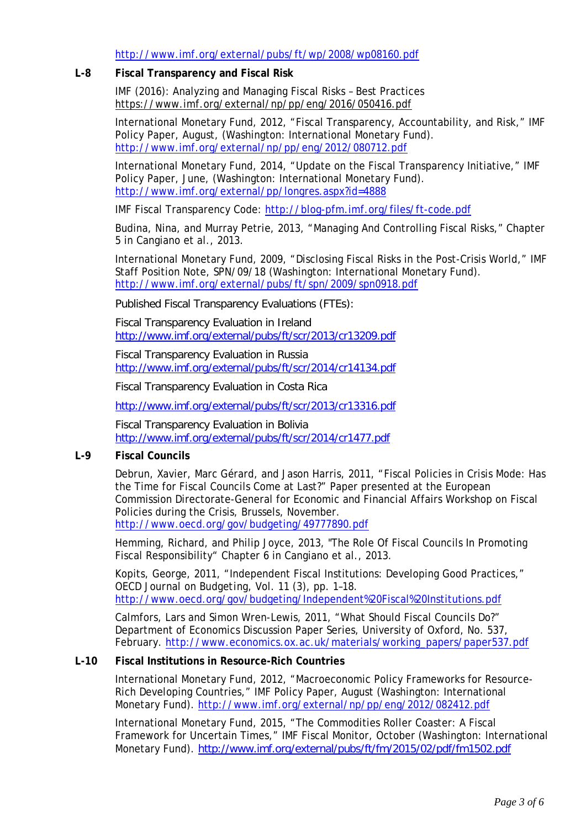<http://www.imf.org/external/pubs/ft/wp/2008/wp08160.pdf>

## **L-8 Fiscal Transparency and Fiscal Risk**

IMF (2016): Analyzing and Managing Fiscal Risks – Best Practices <https://www.imf.org/external/np/pp/eng/2016/050416.pdf>

International Monetary Fund, 2012, "Fiscal Transparency, Accountability, and Risk," IMF Policy Paper, August, (Washington: International Monetary Fund). <http://www.imf.org/external/np/pp/eng/2012/080712.pdf>

International Monetary Fund, 2014, "Update on the Fiscal Transparency Initiative," IMF Policy Paper, June, (Washington: International Monetary Fund). <http://www.imf.org/external/pp/longres.aspx?id=4888>

IMF Fiscal Transparency Code:<http://blog-pfm.imf.org/files/ft-code.pdf>

Budina, Nina, and Murray Petrie, 2013, "Managing And Controlling Fiscal Risks," Chapter 5 in Cangiano et al., 2013.

International Monetary Fund, 2009, "Disclosing Fiscal Risks in the Post-Crisis World," IMF Staff Position Note, SPN/09/18 (Washington: International Monetary Fund). <http://www.imf.org/external/pubs/ft/spn/2009/spn0918.pdf>

Published Fiscal Transparency Evaluations (FTEs):

Fiscal Transparency Evaluation in Ireland <http://www.imf.org/external/pubs/ft/scr/2013/cr13209.pdf>

Fiscal Transparency Evaluation in Russia <http://www.imf.org/external/pubs/ft/scr/2014/cr14134.pdf>

Fiscal Transparency Evaluation in Costa Rica

<http://www.imf.org/external/pubs/ft/scr/2013/cr13316.pdf>

Fiscal Transparency Evaluation in Bolivia <http://www.imf.org/external/pubs/ft/scr/2014/cr1477.pdf>

### **L-9 Fiscal Councils**

Debrun, Xavier, Marc Gérard, and Jason Harris, 2011, "Fiscal Policies in Crisis Mode: Has the Time for Fiscal Councils Come at Last?" Paper presented at the European Commission Directorate-General for Economic and Financial Affairs Workshop on Fiscal Policies during the Crisis, Brussels, November. <http://www.oecd.org/gov/budgeting/49777890.pdf>

Hemming, Richard, and Philip Joyce, 2013, "The Role Of Fiscal Councils In Promoting Fiscal Responsibility" Chapter 6 in Cangiano et al., 2013.

Kopits, George, 2011, "Independent Fiscal Institutions: Developing Good Practices," *OECD Journal on Budgeting*, Vol. 11 (3), pp. 1–18. <http://www.oecd.org/gov/budgeting/Independent%20Fiscal%20Institutions.pdf>

Calmfors, Lars and Simon Wren-Lewis, 2011, "What Should Fiscal Councils Do?" Department of Economics Discussion Paper Series, University of Oxford, No. 537, February. [http://www.economics.ox.ac.uk/materials/working\\_papers/paper537.pdf](http://www.economics.ox.ac.uk/materials/working_papers/paper537.pdf)

### **L-10 Fiscal Institutions in Resource-Rich Countries**

International Monetary Fund, 2012, "Macroeconomic Policy Frameworks for Resource-Rich Developing Countries," IMF Policy Paper, August (Washington: International Monetary Fund).<http://www.imf.org/external/np/pp/eng/2012/082412.pdf>

International Monetary Fund, 2015, "The Commodities Roller Coaster: A Fiscal Framework for Uncertain Times," IMF Fiscal Monitor, October (Washington: International Monetary Fund). <http://www.imf.org/external/pubs/ft/fm/2015/02/pdf/fm1502.pdf>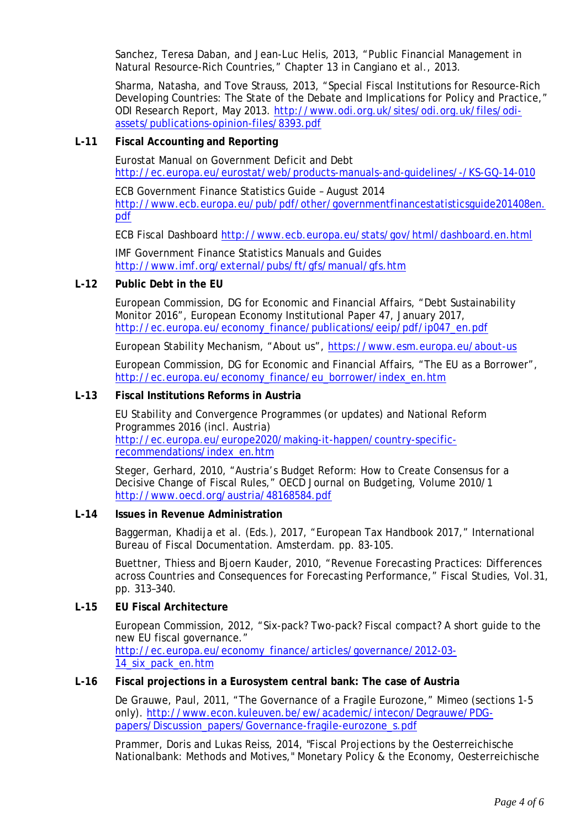Sanchez, Teresa Daban, and Jean-Luc Helis, 2013, "Public Financial Management in Natural Resource-Rich Countries," Chapter 13 in Cangiano et al., 2013.

Sharma, Natasha, and Tove Strauss, 2013, "Special Fiscal Institutions for Resource-Rich Developing Countries: The State of the Debate and Implications for Policy and Practice," ODI Research Report, May 2013. [http://www.odi.org.uk/sites/odi.org.uk/files/odi](http://www.odi.org.uk/sites/odi.org.uk/files/odi-assets/publications-opinion-files/8393.pdf)[assets/publications-opinion-files/8393.pdf](http://www.odi.org.uk/sites/odi.org.uk/files/odi-assets/publications-opinion-files/8393.pdf)

### **L-11 Fiscal Accounting and Reporting**

Eurostat Manual on Government Deficit and Debt <http://ec.europa.eu/eurostat/web/products-manuals-and-guidelines/-/KS-GQ-14-010>

ECB Government Finance Statistics Guide – August 2014 [http://www.ecb.europa.eu/pub/pdf/other/governmentfinancestatisticsguide201408en.](http://www.ecb.europa.eu/pub/pdf/other/governmentfinancestatisticsguide201408en.pdf) [pdf](http://www.ecb.europa.eu/pub/pdf/other/governmentfinancestatisticsguide201408en.pdf)

ECB Fiscal Dashboard<http://www.ecb.europa.eu/stats/gov/html/dashboard.en.html>

IMF Government Finance Statistics Manuals and Guides <http://www.imf.org/external/pubs/ft/gfs/manual/gfs.htm>

### **L-12 Public Debt in the EU**

European Commission, DG for Economic and Financial Affairs, "Debt Sustainability Monitor 2016", European Economy Institutional Paper 47, January 2017, [http://ec.europa.eu/economy\\_finance/publications/eeip/pdf/ip047\\_en.pdf](http://ec.europa.eu/economy_finance/publications/eeip/pdf/ip047_en.pdf)

European Stability Mechanism, "About us",<https://www.esm.europa.eu/about-us>

European Commission, DG for Economic and Financial Affairs, "The EU as a Borrower", [http://ec.europa.eu/economy\\_finance/eu\\_borrower/index\\_en.htm](http://ec.europa.eu/economy_finance/eu_borrower/index_en.htm)

#### **L-13 Fiscal Institutions Reforms in Austria**

EU Stability and Convergence Programmes (or updates) and National Reform Programmes 2016 (incl. Austria) [http://ec.europa.eu/europe2020/making-it-happen/country-specific](http://ec.europa.eu/europe2020/making-it-happen/country-specific-recommendations/index_en.htm)[recommendations/index\\_en.htm](http://ec.europa.eu/europe2020/making-it-happen/country-specific-recommendations/index_en.htm)

Steger, Gerhard, 2010, "Austria's Budget Reform: How to Create Consensus for a Decisive Change of Fiscal Rules," *OECD Journal on Budgeting*, Volume 2010/1 <http://www.oecd.org/austria/48168584.pdf>

#### **L-14 Issues in Revenue Administration**

Baggerman, Khadija et al. (Eds.), 2017, "European Tax Handbook 2017," International Bureau of Fiscal Documentation. Amsterdam. pp. 83-105.

Buettner, Thiess and Bjoern Kauder, 2010, "Revenue Forecasting Practices: Differences across Countries and Consequences for Forecasting Performance," *Fiscal Studies,* Vol.31, pp. 313–340.

### **L-15 EU Fiscal Architecture**

European Commission, 2012, "Six-pack? Two-pack? Fiscal compact? A short guide to the new EU fiscal governance." [http://ec.europa.eu/economy\\_finance/articles/governance/2012-03-](http://ec.europa.eu/economy_finance/articles/governance/2012-03-14_six_pack_en.htm) [14\\_six\\_pack\\_en.htm](http://ec.europa.eu/economy_finance/articles/governance/2012-03-14_six_pack_en.htm)

### **L-16 Fiscal projections in a Eurosystem central bank: The case of Austria**

De Grauwe, Paul, 2011, "The Governance of a Fragile Eurozone," Mimeo (sections 1-5 only). [http://www.econ.kuleuven.be/ew/academic/intecon/Degrauwe/PDG](http://www.econ.kuleuven.be/ew/academic/intecon/Degrauwe/PDG-papers/Discussion_papers/Governance-fragile-eurozone_s.pdf)[papers/Discussion\\_papers/Governance-fragile-eurozone\\_s.pdf](http://www.econ.kuleuven.be/ew/academic/intecon/Degrauwe/PDG-papers/Discussion_papers/Governance-fragile-eurozone_s.pdf)

Prammer, Doris and Lukas Reiss, 2014, "Fiscal Projections by the Oesterreichische Nationalbank: Methods and Motives," Monetary Policy & the Economy, Oesterreichische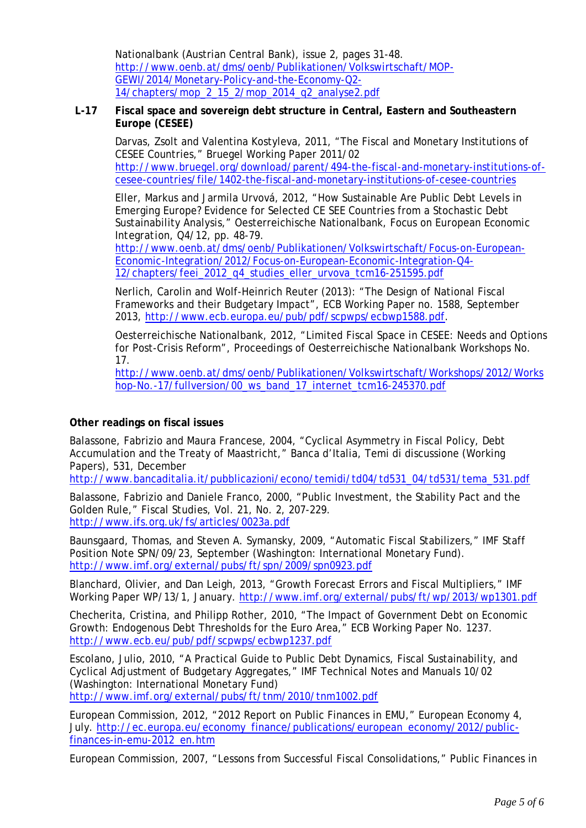Nationalbank (Austrian Central Bank), issue 2, pages 31-48. [http://www.oenb.at/dms/oenb/Publikationen/Volkswirtschaft/MOP-](http://www.oenb.at/dms/oenb/Publikationen/Volkswirtschaft/MOP-GEWI/2014/Monetary-Policy-and-the-Economy-Q2-14/chapters/mop_2_15_2/mop_2014_q2_analyse2.pdf)[GEWI/2014/Monetary-Policy-and-the-Economy-Q2-](http://www.oenb.at/dms/oenb/Publikationen/Volkswirtschaft/MOP-GEWI/2014/Monetary-Policy-and-the-Economy-Q2-14/chapters/mop_2_15_2/mop_2014_q2_analyse2.pdf) [14/chapters/mop\\_2\\_15\\_2/mop\\_2014\\_q2\\_analyse2.pdf](http://www.oenb.at/dms/oenb/Publikationen/Volkswirtschaft/MOP-GEWI/2014/Monetary-Policy-and-the-Economy-Q2-14/chapters/mop_2_15_2/mop_2014_q2_analyse2.pdf)

### **L-17 Fiscal space and sovereign debt structure in Central, Eastern and Southeastern Europe (CESEE)**

Darvas, Zsolt and Valentina Kostyleva, 2011, "The Fiscal and Monetary Institutions of CESEE Countries," Bruegel Working Paper 2011/02 [http://www.bruegel.org/download/parent/494-the-fiscal-and-monetary-institutions-of](http://www.bruegel.org/download/parent/494-the-fiscal-and-monetary-institutions-of-cesee-countries/file/1402-the-fiscal-and-monetary-institutions-of-cesee-countries)[cesee-countries/file/1402-the-fiscal-and-monetary-institutions-of-cesee-countries](http://www.bruegel.org/download/parent/494-the-fiscal-and-monetary-institutions-of-cesee-countries/file/1402-the-fiscal-and-monetary-institutions-of-cesee-countries)

Eller, Markus and Jarmila Urvová, 2012, "How Sustainable Are Public Debt Levels in Emerging Europe? Evidence for Selected CE SEE Countries from a Stochastic Debt Sustainability Analysis," Oesterreichische Nationalbank, *Focus on European Economic Integration*, Q4/12, pp. 48-79.

[http://www.oenb.at/dms/oenb/Publikationen/Volkswirtschaft/Focus-on-European-](http://www.oenb.at/dms/oenb/Publikationen/Volkswirtschaft/Focus-on-European-Economic-Integration/2012/Focus-on-European-Economic-Integration-Q4-12/chapters/feei_2012_q4_studies_eller_urvova_tcm16-251595.pdf)[Economic-Integration/2012/Focus-on-European-Economic-Integration-Q4-](http://www.oenb.at/dms/oenb/Publikationen/Volkswirtschaft/Focus-on-European-Economic-Integration/2012/Focus-on-European-Economic-Integration-Q4-12/chapters/feei_2012_q4_studies_eller_urvova_tcm16-251595.pdf) [12/chapters/feei\\_2012\\_q4\\_studies\\_eller\\_urvova\\_tcm16-251595.pdf](http://www.oenb.at/dms/oenb/Publikationen/Volkswirtschaft/Focus-on-European-Economic-Integration/2012/Focus-on-European-Economic-Integration-Q4-12/chapters/feei_2012_q4_studies_eller_urvova_tcm16-251595.pdf)

Nerlich, Carolin and Wolf-Heinrich Reuter (2013): "The Design of National Fiscal Frameworks and their Budgetary Impact", ECB Working Paper no. 1588, September 2013, [http://www.ecb.europa.eu/pub/pdf/scpwps/ecbwp1588.pdf.](http://www.ecb.europa.eu/pub/pdf/scpwps/ecbwp1588.pdf)

Oesterreichische Nationalbank, 2012, "Limited Fiscal Space in CESEE: Needs and Options for Post-Crisis Reform", Proceedings of Oesterreichische Nationalbank Workshops No. 17.

[http://www.oenb.at/dms/oenb/Publikationen/Volkswirtschaft/Workshops/2012/Works](http://www.oenb.at/dms/oenb/Publikationen/Volkswirtschaft/Workshops/2012/Workshop-No.-17/fullversion/00_ws_band_17_internet_tcm16-245370.pdf) hop-No.-17/fullversion/00 ws\_band\_17\_internet\_tcm16-245370.pdf

### **Other readings on fiscal issues**

Balassone, Fabrizio and Maura Francese, 2004, "Cyclical Asymmetry in Fiscal Policy, Debt Accumulation and the Treaty of Maastricht," Banca d'Italia, Temi di discussione (Working Papers), 531, December

[http://www.bancaditalia.it/pubblicazioni/econo/temidi/td04/td531\\_04/td531/tema\\_531.pdf](http://www.bancaditalia.it/pubblicazioni/econo/temidi/td04/td531_04/td531/tema_531.pdf)

Balassone, Fabrizio and Daniele Franco, 2000, "Public Investment, the Stability Pact and the Golden Rule," *Fiscal Studies*, Vol. 21, No. 2, 207-229. <http://www.ifs.org.uk/fs/articles/0023a.pdf>

Baunsgaard, Thomas, and Steven A. Symansky, 2009, "Automatic Fiscal Stabilizers," IMF Staff Position Note SPN/09/23, September (Washington: International Monetary Fund). <http://www.imf.org/external/pubs/ft/spn/2009/spn0923.pdf>

Blanchard, Olivier, and Dan Leigh, 2013, "Growth Forecast Errors and Fiscal Multipliers," IMF Working Paper WP/13/1, January. <http://www.imf.org/external/pubs/ft/wp/2013/wp1301.pdf>

Checherita, Cristina, and Philipp Rother, 2010, "The Impact of Government Debt on Economic Growth: Endogenous Debt Thresholds for the Euro Area," ECB Working Paper No. 1237. <http://www.ecb.eu/pub/pdf/scpwps/ecbwp1237.pdf>

Escolano, Julio, 2010, "A Practical Guide to Public Debt Dynamics, Fiscal Sustainability, and Cyclical Adjustment of Budgetary Aggregates," IMF Technical Notes and Manuals 10/02 (Washington: International Monetary Fund)

<http://www.imf.org/external/pubs/ft/tnm/2010/tnm1002.pdf>

European Commission, 2012, "2012 Report on Public Finances in EMU," *European Economy* 4, July. [http://ec.europa.eu/economy\\_finance/publications/european\\_economy/2012/public](http://ec.europa.eu/economy_finance/publications/european_economy/2012/public-finances-in-emu-2012_en.htm)[finances-in-emu-2012\\_en.htm](http://ec.europa.eu/economy_finance/publications/european_economy/2012/public-finances-in-emu-2012_en.htm)

European Commission, 2007, "Lessons from Successful Fiscal Consolidations," Public Finances in